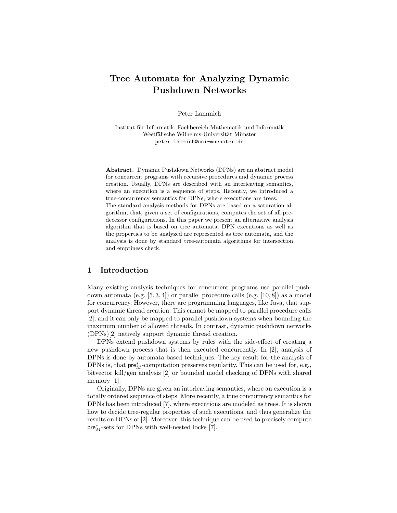# Tree Automata for Analyzing Dynamic Pushdown Networks

Peter Lammich

Institut für Informatik, Fachbereich Mathematik und Informatik Westfälische Wilhelms-Universität Münster peter.lammich@uni-muenster.de

Abstract. Dynamic Pushdown Networks (DPNs) are an abstract model for concurrent programs with recursive procedures and dynamic process creation. Usually, DPNs are described with an interleaving semantics, where an execution is a sequence of steps. Recently, we introduced a true-concurrency semantics for DPNs, where executions are trees. The standard analysis methods for DPNs are based on a saturation algorithm, that, given a set of configurations, computes the set of all predecessor configurations. In this paper we present an alternative analysis algorithm that is based on tree automata. DPN executions as well as the properties to be analyzed are represented as tree automata, and the analysis is done by standard tree-automata algorithms for intersection and emptiness check.

# 1 Introduction

Many existing analysis techniques for concurrent programs use parallel pushdown automata (e.g.  $[5, 3, 4]$ ) or parallel procedure calls (e.g.  $[10, 8]$ ) as a model for concurrency. However, there are programming languages, like Java, that support dynamic thread creation. This cannot be mapped to parallel procedure calls [2], and it can only be mapped to parallel pushdown systems when bounding the maximum number of allowed threads. In contrast, dynamic pushdown networks (DPNs)[2] natively support dynamic thread creation.

DPNs extend pushdown systems by rules with the side-effect of creating a new pushdown process that is then executed concurrently. In [2], analysis of DPNs is done by automata based techniques. The key result for the analysis of DPNs is, that  $pre^*_{M}$ -computation preserves regularity. This can be used for, e.g., bitvector kill/gen analysis [2] or bounded model checking of DPNs with shared memory [1].

Originally, DPNs are given an interleaving semantics, where an execution is a totally ordered sequence of steps. More recently, a true concurrency semantics for DPNs has been introduced [7], where executions are modeled as trees. It is shown how to decide tree-regular properties of such executions, and thus generalize the results on DPNs of [2]. Moreover, this technique can be used to precisely compute  $\mathsf{pre}^*_M\text{-sets}$  for DPNs with well-nested locks [7].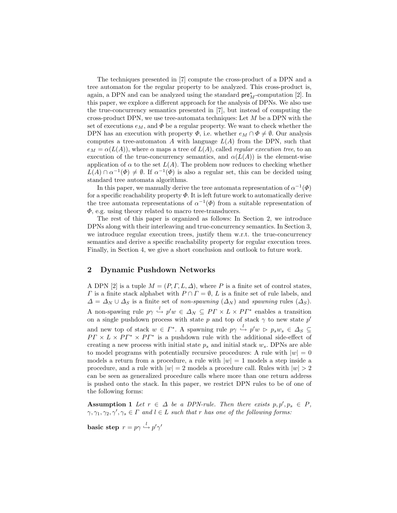The techniques presented in [7] compute the cross-product of a DPN and a tree automaton for the regular property to be analyzed. This cross-product is, again, a DPN and can be analyzed using the standard  $\mathsf{pre}^*_M$ -computation [2]. In this paper, we explore a different approach for the analysis of DPNs. We also use the true-concurrency semantics presented in [7], but instead of computing the cross-product DPN, we use tree-automata techniques: Let  $M$  be a DPN with the set of executions  $e_M$ , and  $\Phi$  be a regular property. We want to check whether the DPN has an execution with property  $\Phi$ , i.e. whether  $e_M \cap \Phi \neq \emptyset$ . Our analysis computes a tree-automaton A with language  $L(A)$  from the DPN, such that  $e_M = \alpha(L(A))$ , where  $\alpha$  maps a tree of  $L(A)$ , called *regular execution tree*, to an execution of the true-concurrency semantics, and  $\alpha(L(A))$  is the element-wise application of  $\alpha$  to the set  $L(A)$ . The problem now reduces to checking whether  $L(A) \cap \alpha^{-1}(\Phi) \neq \emptyset$ . If  $\alpha^{-1}(\Phi)$  is also a regular set, this can be decided using standard tree automata algorithms.

In this paper, we manually derive the tree automata representation of  $\alpha^{-1}(\Phi)$ for a specific reachability property  $\Phi$ . It is left future work to automatically derive the tree automata representations of  $\alpha^{-1}(\Phi)$  from a suitable representation of  $\Phi$ , e.g. using theory related to macro tree-transducers.

The rest of this paper is organized as follows: In Section 2, we introduce DPNs along with their interleaving and true-concurrency semantics. In Section 3, we introduce regular execution trees, justify them w.r.t. the true-concurrency semantics and derive a specific reachability property for regular execution trees. Finally, in Section 4, we give a short conclusion and outlook to future work.

## 2 Dynamic Pushdown Networks

A DPN [2] is a tuple  $M = (P, \Gamma, L, \Delta)$ , where P is a finite set of control states,  $\Gamma$  is a finite stack alphabet with  $P \cap \Gamma = \emptyset$ , L is a finite set of rule labels, and  $\Delta = \Delta_N \cup \Delta_S$  is a finite set of non-spawning  $(\Delta_N)$  and spawning rules  $(\Delta_S)$ . A non-spawing rule  $p\gamma \stackrel{l}{\hookrightarrow} p'w \in \Delta_N \subseteq PT \times L \times PT^*$  enables a transition on a single pushdown process with state p and top of stack  $\gamma$  to new state p' and new top of stack  $w \in \Gamma^*$ . A spawning rule  $p\gamma \stackrel{l}{\hookrightarrow} p'w \,\triangleright\, p_sw_s \in \Delta_S \subseteq$  $PT \times L \times PT^* \times PT^*$  is a pushdown rule with the additional side-effect of creating a new process with initial state  $p_s$  and initial stack  $w_s$ . DPNs are able to model programs with potentially recursive procedures: A rule with  $|w| = 0$ models a return from a procedure, a rule with  $|w| = 1$  models a step inside a procedure, and a rule with  $|w| = 2$  models a procedure call. Rules with  $|w| > 2$ can be seen as generalized procedure calls where more than one return address is pushed onto the stack. In this paper, we restrict DPN rules to be of one of the following forms:

**Assumption 1** Let  $r \in \Delta$  be a DPN-rule. Then there exists  $p, p', p_s \in P$ ,  $\gamma, \gamma_1, \gamma_2, \gamma', \gamma_s \in \Gamma$  and  $l \in L$  such that r has one of the following forms:

basic step  $r = p\gamma \stackrel{l}{\hookrightarrow} p'\gamma'$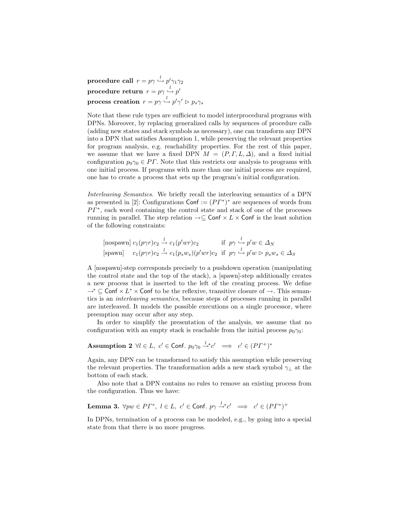$\textbf{procedure call} \ \ r = p \gamma \overset{l}{\hookrightarrow} p' \gamma_1 \gamma_2$  $\textbf{procedure return} \ \ r = p \gamma \overset{l}{\hookrightarrow} p'$  $\textbf{process creation} \;\, r = p \gamma \stackrel{l}{\hookrightarrow} p' \gamma' \vartriangleright p_s \gamma_s$ 

Note that these rule types are sufficient to model interprocedural programs with DPNs. Moreover, by replacing generalized calls by sequences of procedure calls (adding new states and stack symbols as necessary), one can transform any DPN into a DPN that satisfies Assumption 1, while preserving the relevant properties for program analysis, e.g. reachability properties. For the rest of this paper, we assume that we have a fixed DPN  $M = (P, \Gamma, L, \Delta)$ , and a fixed initial configuration  $p_0 \gamma_0 \in PT$ . Note that this restricts our analysis to programs with one initial process. If programs with more than one initial process are required, one has to create a process that sets up the program's initial configuration.

Interleaving Semantics. We briefly recall the interleaving semantics of a DPN as presented in [2]: Configurations  $\text{Conf} := (PT^*)^*$  are sequences of words from  $PT^*$ , each word containing the control state and stack of one of the processes running in parallel. The step relation  $\rightarrow \subseteq \mathsf{Conf} \times L \times \mathsf{Conf}$  is the least solution of the following constraints:

[nospawn] 
$$
c_1(p\gamma r)c_2 \stackrel{l}{\rightarrow} c_1(p'wr)c_2
$$
 if  $p\gamma \stackrel{l}{\rightarrow} p'w \in \Delta_N$   
\n[spawn]  $c_1(p\gamma r)c_2 \stackrel{l}{\rightarrow} c_1(p_sw_s)(p'wr)c_2$  if  $p\gamma \stackrel{l}{\rightarrow} p'w \rhd p_sw_s \in \Delta_S$ 

A [nospawn]-step corresponds precisely to a pushdown operation (manipulating the control state and the top of the stack), a [spawn]-step additionally creates a new process that is inserted to the left of the creating process. We define  $\rightarrow^*$  ⊆ Conf  $\times L^*$  × Conf to be the reflexive, transitive closure of  $\rightarrow$ . This semantics is an interleaving semantics, because steps of processes running in parallel are interleaved. It models the possible executions on a single processor, where preemption may occur after any step.

In order to simplify the presentation of the analysis, we assume that no configuration with an empty stack is reachable from the initial process  $p_0\gamma_0$ :

# Assumption 2  $\forall l \in L, c' \in \textsf{Conf}. p_0\gamma_0 \stackrel{l}{\rightarrow} c' \implies c' \in (P\varGamma^+)^*$

Again, any DPN can be transformed to satisfy this assumption while preserving the relevant properties. The transformation adds a new stack symbol  $\gamma_{\perp}$  at the bottom of each stack.

Also note that a DPN contains no rules to remove an existing process from the configuration. Thus we have:

**Lemma 3.** 
$$
\forall pw \in PT^*, l \in L, c' \in \text{Conf. } p\gamma \stackrel{l}{\rightarrow} c' \implies c' \in (PT^*)^+
$$

In DPNs, termination of a process can be modeled, e.g., by going into a special state from that there is no more progress.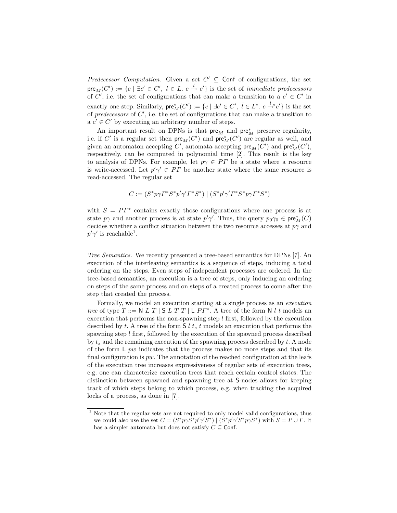Predecessor Computation. Given a set  $C' \subseteq$  Conf of configurations, the set  $\mathsf{pre}_M(C') := \{c \mid \exists c' \in C', \ l \in L.\ c \stackrel{l}{\to} c' \}$  is the set of *immediate predecessors* of C', i.e. the set of configurations that can make a transition to a  $c' \in C'$  in exactly one step. Similarly,  $\mathsf{pre}_{M}^{*}(C') := \{c \mid \exists c' \in C', \overline{l} \in L^*.\ c \stackrel{\overline{l}}{\rightarrow}^* c' \}$  is the set of predecessors of  $C'$ , i.e. the set of configurations that can make a transition to  $a \ c' \in C'$  by executing an arbitrary number of steps.

An important result on DPNs is that  $pre_M$  and  $pre_M^*$  preserve regularity, i.e. if  $C'$  is a regular set then  $\mathsf{pre}_M(C')$  and  $\mathsf{pre}_M^*(C')$  are regular as well, and given an automaton accepting  $C'$ , automata accepting  ${\sf pre}_{M}(C')$  and  ${\sf pre}_{M}^{*}(C'),$ respectively, can be computed in polynomial time [2]. This result is the key to analysis of DPNs. For example, let  $p\gamma \in PT$  be a state where a resource is write-accessed. Let  $p' \gamma' \in PT$  be another state where the same resource is read-accessed. The regular set

$$
C := (S^*p\gamma\Gamma^*S^*p'\gamma'\Gamma^*S^*) \mid (S^*p'\gamma'\Gamma^*S^*p\gamma\Gamma^*S^*)
$$

with  $S = PT^*$  contains exactly those configurations where one process is at state  $p\gamma$  and another process is at state  $p'\gamma'$ . Thus, the query  $p_0\gamma_0 \in \text{pre}^*_M(C)$ decides whether a conflict situation between the two resource accesses at  $p\gamma$  and  $p'\gamma'$  is reachable<sup>1</sup>.

Tree Semantics. We recently presented a tree-based semantics for DPNs [7]. An execution of the interleaving semantics is a sequence of steps, inducing a total ordering on the steps. Even steps of independent processes are ordered. In the tree-based semantics, an execution is a tree of steps, only inducing an ordering on steps of the same process and on steps of a created process to come after the step that created the process.

Formally, we model an execution starting at a single process as an execution tree of type  $T ::= N L T | S L T T | L P \Gamma^*$ . A tree of the form N l t models an execution that performs the non-spawning step  $l$  first, followed by the execution described by t. A tree of the form  $S l t_s t$  models an execution that performs the spawning step l first, followed by the execution of the spawned process described by  $t_s$  and the remaining execution of the spawning process described by  $t$ . A node of the form  $\mathsf{L}$  pw indicates that the process makes no more steps and that its final configuration is  $pw$ . The annotation of the reached configuration at the leafs of the execution tree increases expressiveness of regular sets of execution trees, e.g. one can characterize execution trees that reach certain control states. The distinction between spawned and spawning tree at S-nodes allows for keeping track of which steps belong to which process, e.g. when tracking the acquired locks of a process, as done in [7].

<sup>&</sup>lt;sup>1</sup> Note that the regular sets are not required to only model valid configurations, thus we could also use the set  $C = (S^* p \gamma S^* p' \gamma' S^*) | (S^* p' \gamma' S^* p \gamma S^*)$  with  $S = P \cup \Gamma$ . It has a simpler automata but does not satisfy  $C \subseteq \mathsf{Conf}$ .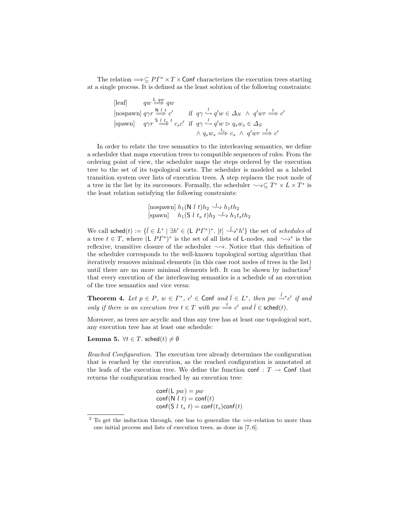The relation  $\Longrightarrow \subseteq PT^* \times T \times$  Conf characterizes the execution trees starting at a single process. It is defined as the least solution of the following constraints:

$$
\begin{array}{llll}\n\text{[leaf]} & qw \stackrel{\mathsf{L} \ \, qw}{\Longrightarrow} \, qw \\
\text{[nospawn]} & q\gamma r \stackrel{\mathsf{N} \ \, L}{\Longrightarrow} \, c' & \text{if} \quad q\gamma \stackrel{l}{\hookrightarrow} q'w \in \Delta_N \ \land \ q'wr \stackrel{t}{\Longrightarrow} c' \\
\text{[spawn]} & q\gamma r \stackrel{\mathsf{S} \ \, L}{\Longrightarrow} \, ^t c_s c' & \text{if} \quad q\gamma \stackrel{l}{\hookrightarrow} q'w \triangleright q_s w_s \in \Delta_S \\
& \land \ q_s w_s \stackrel{t_s}{\Longrightarrow} c_s \ \land \ q'wr \stackrel{t}{\Longrightarrow} c'\n\end{array}
$$

In order to relate the tree semantics to the interleaving semantics, we define a scheduler that maps execution trees to compatible sequences of rules. From the ordering point of view, the scheduler maps the steps ordered by the execution tree to the set of its topological sorts. The scheduler is modeled as a labeled transition system over lists of execution trees. A step replaces the root node of a tree in the list by its successors. Formally, the scheduler  $\sim \in T^* \times L \times T^*$  is the least relation satisfying the following constraints:

[nospawn] 
$$
h_1(\mathsf{N} \mid t)h_2 \rightsquigarrow h_1th_2
$$
  
[spawn]  $h_1(\mathsf{S} \mid t_s \mid t)h_2 \rightsquigarrow h_1t_sth_2$ 

We call sched $(t) := \{\bar{l} \in L^* \mid \exists h' \in (L \, PT^*)^*.\; [t] \stackrel{\bar{j}}{\leadsto} h'\}$  the set of schedules of a tree  $t \in T$ , where  $(L \, PT^*)^*$  is the set of all lists of L-nodes, and  $\sim\downarrow^*$  is the reflexive, transitive closure of the scheduler  $\sim$ . Notice that this definition of the scheduler corresponds to the well-known topological sorting algorithm that iteratively removes minimal elements (in this case root nodes of trees in the list) until there are no more minimal elements left. It can be shown by induction<sup>2</sup> that every execution of the interleaving semantics is a schedule of an execution of the tree semantics and vice versa:

**Theorem 4.** Let  $p \in P$ ,  $w \in \Gamma^*$ ,  $c' \in \text{Conf}$  and  $\overline{l} \in L^*$ , then  $pw \stackrel{\overline{l}}{\rightarrow}^*c'$  if and only if there is an execution tree  $t \in T$  with  $pw \stackrel{t}{\Longrightarrow} c'$  and  $\overline{l} \in \mathsf{sched}(t)$ .

Moreover, as trees are acyclic and thus any tree has at least one topological sort, any execution tree has at least one schedule:

**Lemma 5.**  $\forall t \in T$ . sched $(t) \neq \emptyset$ 

Reached Configuration. The execution tree already determines the configuration that is reached by the execution, as the reached configuration is annotated at the leafs of the execution tree. We define the function conf :  $T \rightarrow$  Conf that returns the configuration reached by an execution tree:

$$
conf(L pw) = pw
$$
  
conf(N l t) = conf(t)  
conf(S l t<sub>s</sub> t) = conf(t<sub>s</sub>)conf(t)

<sup>&</sup>lt;sup>2</sup> To get the induction through, one has to generalize the  $\Rightarrow$ -relation to more than one initial process and lists of execution trees, as done in [7, 6].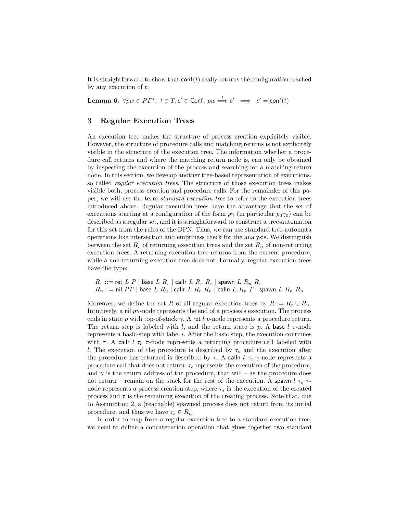It is straightforward to show that  $\text{conf}(t)$  really returns the configuration reached by any execution of t:

**Lemma 6.**  $\forall pw \in PT^*$ ,  $t \in T, c' \in Conf. pw \stackrel{t}{\implies} c' \implies c' = conf(t)$ 

# 3 Regular Execution Trees

An execution tree makes the structure of process creation explicitely visible. However, the structure of procedure calls and matching returns is not explicitely visible in the structure of the execution tree. The information whether a procedure call returns and where the matching return node is, can only be obtained by inspecting the execution of the process and searching for a matching return node. In this section, we develop another tree-based representation of executions, so called *regular execution trees*. The structure of those execution trees makes visible both, process creation and procedure calls. For the remainder of this paper, we will use the term standard execution tree to refer to the execution trees introduced above. Regular execution trees have the advantage that the set of executions starting at a configuration of the form  $p\gamma$  (in particular  $p_0\gamma_0$ ) can be described as a regular set, and it is straightforward to construct a tree-automaton for this set from the rules of the DPN. Thus, we can use standard tree-automata operations like intersection and emptiness check for the analysis. We distinguish between the set  $R_r$  of returning execution trees and the set  $R_n$  of non-returning execution trees. A returning execution tree returns from the current procedure, while a non-returning execution tree does not. Formally, regular execution trees have the type:

 $R_r ::=$  ret  $L P \mid$  base  $L R_r \mid$  callr  $L R_r R_r \mid$  spawn  $L R_n R_r$  $R_n ::= \text{nil } PT \mid \text{base } L \ R_n \mid \text{callr } L \ R_r \ R_n \mid \text{calln } L \ R_n \ \Gamma \mid \text{spawn } L \ R_n \ R_n$ 

Moreover, we define the set R of all regular execution trees by  $R := R_r \cup R_n$ . Intuitively, a nil  $p\gamma$ -node represents the end of a process's execution. The process ends in state p with top-of-stack  $\gamma$ . A ret l p-node represents a procedure return. The return step is labeled with l, and the return state is p. A base  $l \tau$ -node represents a basic-step with label l. After the basic step, the execution continues with  $\tau$ . A callr  $l \tau_c \tau$ -node represents a returning procedure call labeled with l. The execution of the procedure is described by  $\tau_c$  and the execution after the procedure has returned is described by  $\tau$ . A calln  $l \tau_c$   $\gamma$ -node represents a procedure call that does not return.  $\tau_c$  represents the execution of the procedure, and  $\gamma$  is the return address of the procedure, that will – as the procedure does not return – remain on the stack for the rest of the execution. A spawn  $l \tau_s$   $\tau$ node represents a process creation step, where  $\tau_s$  is the execution of the created process and  $\tau$  is the remaining execution of the creating process. Note that, due to Assumption 2, a (reachable) spawned process does not return from its initial procedure, and thus we have  $\tau_s \in R_n$ .

In order to map from a regular execution tree to a standard execution tree, we need to define a concatenation operation that glues together two standard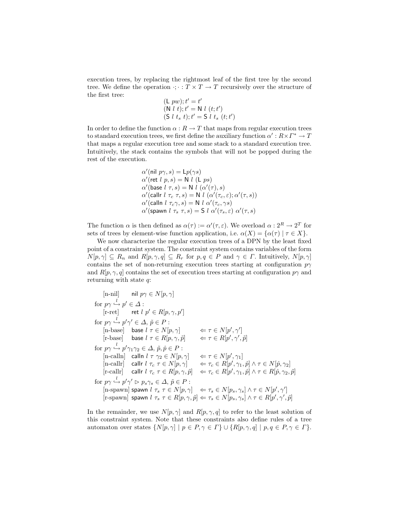execution trees, by replacing the rightmost leaf of the first tree by the second tree. We define the operation  $\cdot; \cdot : T \times T \to T$  recursively over the structure of the first tree:

$$
(L \, pw); t' = t'
$$
  
\n
$$
(N \, l \, t); t' = N \, l \, (t; t')
$$
  
\n
$$
(S \, l \, t_s \, t); t' = S \, l \, t_s \, (t; t')
$$

In order to define the function  $\alpha: R \to T$  that maps from regular execution trees to standard execution trees, we first define the auxiliary function  $\alpha' : R \times \Gamma^* \to T$ that maps a regular execution tree and some stack to a standard execution tree. Intuitively, the stack contains the symbols that will not be popped during the rest of the execution.

$$
\begin{array}{l} \alpha'({\mathsf{nil}\,} p\gamma,s) = \mathsf{L} p(\gamma s)\\ \alpha'({\mathsf{ret}\,} l\ p,s) = \mathsf{N}\ l\ (\mathsf{L}\ p s)\\ \alpha'({\mathsf{base}\,} l\ \tau,s) = \mathsf{N}\ l\ (\alpha'(\tau),s)\\ \alpha'({\mathsf{call}\,} l\ \tau_c\ \tau,s) = \mathsf{N}\ l\ (\alpha'(\tau_c,\varepsilon);\alpha'(\tau,s))\\ \alpha'({\mathsf{call}\,} l\ \tau_c\gamma,s) = \mathsf{N}\ l\ \alpha'(\tau_c,\gamma s)\\ \alpha'({\mathsf{spawn}\,} l\ \tau_s\ \tau,s) = \mathsf{S}\ l\ \alpha'(\tau_s,\varepsilon)\ \alpha'(\tau,s) \end{array}
$$

The function  $\alpha$  is then defined as  $\alpha(\tau) := \alpha'(\tau, \varepsilon)$ . We overload  $\alpha : 2^R \to 2^T$  for sets of trees by element-wise function application, i.e.  $\alpha(X) = {\alpha(\tau) | \tau \in X}.$ 

We now characterize the regular execution trees of a DPN by the least fixed point of a constraint system. The constraint system contains variables of the form  $N[p, \gamma] \subseteq R_n$  and  $R[p, \gamma, q] \subseteq R_r$  for  $p, q \in P$  and  $\gamma \in \Gamma$ . Intuitively,  $N[p, \gamma]$ contains the set of non-returning execution trees starting at configuration  $p\gamma$ and  $R[p, \gamma, q]$  contains the set of execution trees starting at configuration  $p\gamma$  and returning with state q:

$$
\begin{array}{llllllll} &\mbox{[n-nil]} &\mbox{nil} &\mbox{p\eta}\in N[p,\gamma] \\ \mbox{for $p\gamma\stackrel{l}{\hookrightarrow}p'\in\Delta$ :} &\mbox{[r-ret]} &\mbox{ret $l$ $p'\in R[p,\gamma,p'$}\\ \mbox{for $p\gamma\stackrel{l}{\hookrightarrow}p'\gamma'\in\Delta$, $\tilde{p}\in P$ :} &\mbox{[n-base]} &\mbox{base $l$ $\tau\in N[p,\gamma]$} &\mbox{ $\Leftarrow\tau\in N[p',\gamma'$}\\ &\mbox{[r-base]} &\mbox{base $l$ $\tau\in R[p,\gamma,\tilde{p}]$} &\mbox{ $\Leftarrow\tau\in R[p',\gamma',\tilde{p}$}\\ \mbox{for $p\gamma\stackrel{l}{\hookrightarrow}p'\gamma_1\gamma_2\in\Delta$, $\tilde{p},\hat{p}\in P$ :} &\mbox{[n-calln]} &\mbox{call $l$ $\tau$ $\gamma_2\in N[p,\gamma]$} &\mbox{ $\Leftarrow\tau\in N[p',\gamma_1]$}\\ &\mbox{[n-callr]} &\mbox{call $l$ $\tau_{\tau}\tau\in N[p,\gamma]$} &\mbox{ $\Leftarrow\tau_{\rm c}\in R[p',\gamma_1,\hat{p}]\wedge\tau\in N[\hat{p},\gamma_2]$}\\ &\mbox{[r-callr]} &\mbox{call $l$ $\tau_{\tau}\tau\in R[p,\gamma,\tilde{p}]$} &\mbox{ $\Leftarrow\tau_{\rm c}\in R[p',\gamma_1,\hat{p}]\wedge\tau\in R[\hat{p},\gamma_2,\tilde{p}]$} \\ &\mbox{for $p\gamma\stackrel{l}{\hookrightarrow}p'\gamma'\vartriangleright p_s\gamma_s\in\Delta$, $\tilde{p}\in P$ :} &\mbox{[n-spawn] spawn $l$ $\tau_s\tau\in N[p,\gamma]$} &\mbox{ $\Leftarrow\tau_s\in N[p_s,\gamma_s]\wedge\tau\in N[p',\gamma'$}\\ &\mbox{[r-spawn] spawn $l$ $\tau_s\tau\in R[p,\gamma,\tilde{p}]$} &\mbox{ $\Leftarrow\tau_s\in N[p,s,\gamma_s]\wedge\tau\in R[p',\gamma',\tilde{p}]$} \end{array}
$$

In the remainder, we use  $N[p, \gamma]$  and  $R[p, \gamma, q]$  to refer to the least solution of this constraint system. Note that these constraints also define rules of a tree automaton over states  $\{N[p, \gamma] \mid p \in P, \gamma \in \Gamma\} \cup \{R[p, \gamma, q] \mid p, q \in P, \gamma \in \Gamma\}.$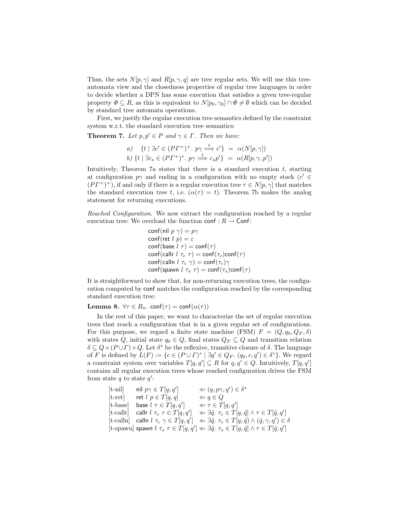Thus, the sets  $N[p, \gamma]$  and  $R[p, \gamma, q]$  are tree regular sets. We will use this treeautomata view and the closedness properties of regular tree languages in order to decide whether a DPN has some execution that satisfies a given tree-regular property  $\Phi \subseteq R$ , as this is equivalent to  $N[p_0, \gamma_0] \cap \Phi \neq \emptyset$  which can be decided by standard tree automata operations.

First, we justify the regular execution tree semantics defined by the constraint system w.r.t. the standard execution tree semantics:

**Theorem 7.** Let  $p, p' \in P$  and  $\gamma \in \Gamma$ . Then we have:

a) 
$$
\{t \mid \exists c' \in (PT^+)^+, p\gamma \stackrel{t}{\Longrightarrow} c'\} = \alpha(N[p, \gamma])
$$
  
b)  $\{t \mid \exists c_s \in (PT^+)^*, p\gamma \stackrel{t}{\Longrightarrow} c_s p'\} = \alpha(R[p, \gamma, p'])$ 

Intuitively, Theorem 7a states that there is a standard execution  $t$ , starting at configuration  $p\gamma$  and ending in a configuration with no empty stack  $(c' \in$  $(PT^{+})^{+}$ ), if and only if there is a regular execution tree  $\tau \in N[p, \gamma]$  that matches the standard execution tree t, i.e.  $(\alpha(\tau) = t)$ . Theorem 7b makes the analog statement for returning executions.

Reached Configuration. We now extract the configuration reached by a regular execution tree: We overload the function  $\text{conf} : R \to \text{Conf}$ :

> conf(nil  $p \gamma$ ) =  $p\gamma$ conf(ret  $l$   $p$ ) =  $\varepsilon$ conf(base  $l \tau$ ) = conf( $\tau$ ) conf(callr  $l \tau_c \tau$ ) = conf( $\tau_c$ )conf( $\tau$ ) conf(calln  $l \tau_c \gamma$ ) = conf( $\tau_c$ ) $\gamma$ conf(spawn  $l \tau_s \tau$ ) = conf( $\tau_s$ )conf( $\tau$ )

It is straightforward to show that, for non-returning execution trees, the configuration computed by conf matches the configuration reached by the corresponding standard execution tree:

Lemma 8.  $\forall \tau \in R_n$ . conf $(\tau) = \text{conf}(\alpha(\tau))$ 

In the rest of this paper, we want to characterize the set of regular execution trees that reach a configuration that is in a given regular set of configurations. For this purpose, we regard a finite state machine (FSM)  $F = (Q, q_0, Q_F, \delta)$ with states Q, initial state  $q_0 \in Q$ , final states  $Q_F \subseteq Q$  and transition relation  $\delta \subseteq Q \times (P \cup \Gamma) \times Q$ . Let  $\delta^*$  be the reflexive, transitive closure of  $\delta$ . The language of F is defined by  $L(F) := \{c \in (P \cup \Gamma)^* \mid \exists q' \in Q_F \colon (q_0, c, q') \in \delta^*\}$ . We regard a constraint system over variables  $T[q, q'] \subseteq R$  for  $q, q' \in Q$ . Intuitively,  $T[q, q']$ contains all regular execution trees whose reached configuration drives the FSM from state  $q$  to state  $q'$ :

$$
\begin{array}{llll} \text{[t-nil]} & \text{nil} & p\gamma \in T[q,q'] & \Leftarrow (q,p\gamma,q') \in \delta^* \\ \text{[t-ret]} & \text{ret } l & p \in T[q,q] & \Leftarrow q \in Q \\ \text{[t-base]} & \text{base } l & \tau \in T[q,q'] & \Leftarrow \tau \in T[q,q'] \\ \text{[t-callr]} & \text{callr } l & \tau_c & \tau \in T[q,q'] & \Leftarrow \exists \hat{q}. \ \tau_c \in T[q,\hat{q}] \land \tau \in T[\hat{q},q'] \\ \text{[t-calln]} & \text{calln } l & \tau_c & \gamma \in T[q,q'] & \Leftarrow \exists \hat{q}. \ \tau_c \in T[q,\hat{q}] \land (\hat{q},\gamma,q') \in \delta \\ \text{[t-spawn]} & \text{spawn } l & \tau_s & \tau \in T[q,q'] \iff \exists \hat{q}. \ \tau_s \in T[q,\hat{q}] \land \tau \in T[\hat{q},q'] \end{array}
$$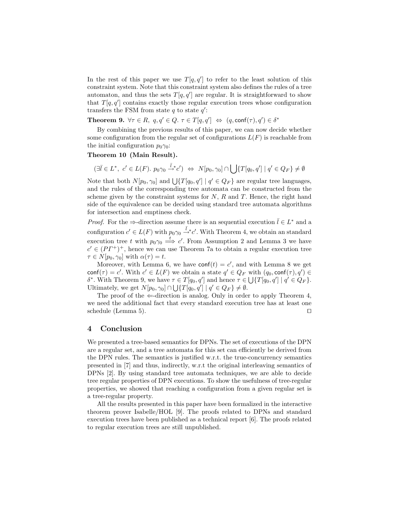In the rest of this paper we use  $T[q, q']$  to refer to the least solution of this constraint system. Note that this constraint system also defines the rules of a tree automaton, and thus the sets  $T[q, q']$  are regular. It is straightforward to show that  $T[q, q']$  contains exactly those regular execution trees whose configuration transfers the FSM from state  $q$  to state  $q'$ :

**Theorem 9.**  $\forall \tau \in R$ ,  $q, q' \in Q$ .  $\tau \in T[q, q'] \Leftrightarrow (q, \text{conf}(\tau), q') \in \delta^*$ 

By combining the previous results of this paper, we can now decide whether some configuration from the regular set of configurations  $L(F)$  is reachable from the initial configuration  $p_0\gamma_0$ :

#### Theorem 10 (Main Result).

 $(\exists \overline{l} \in L^*, c' \in L(F)$ .  $p_0 \gamma_0 \stackrel{\overline{l}}{\rightarrow} c') \Leftrightarrow N[p_0, \gamma_0] \cap \Big| \int \{T[q_0, q'] \mid q' \in Q_F\} \neq \emptyset$ 

Note that both  $N[p_0, \gamma_0]$  and  $\bigcup \{T[q_0, q'] \mid q' \in Q_F\}$  are regular tree languages, and the rules of the corresponding tree automata can be constructed from the scheme given by the constraint systems for  $N$ ,  $R$  and  $T$ . Hence, the right hand side of the equivalence can be decided using standard tree automata algorithms for intersection and emptiness check.

*Proof.* For the  $\Rightarrow$ -direction assume there is an sequential execution  $\overline{l} \in L^*$  and a configuration  $c' \in L(F)$  with  $p_0 \gamma_0 \stackrel{\bar{l}}{\rightarrow} c'$ . With Theorem 4, we obtain an standard execution tree t with  $p_0 \gamma_0 \stackrel{t}{\Longrightarrow} c'$ . From Assumption 2 and Lemma 3 we have  $c' \in (PT^+)^+$ , hence we can use Theorem 7a to obtain a regular execution tree  $\tau \in N[p_0, \gamma_0]$  with  $\alpha(\tau) = t$ .

Moreover, with Lemma 6, we have  $\text{conf}(t) = c'$ , and with Lemma 8 we get conf( $\tau$ ) = c'. With  $c' \in L(F)$  we obtain a state  $q' \in Q_F$  with  $(q_0, \text{conf}(\tau), q') \in$ δ<sup>\*</sup>. With Theorem 9, we have  $τ ∈ T[q_0, q']$  and hence  $τ ∈ \bigcup \{T[q_0, q'] \mid q' ∈ Q_F\}$ . Ultimately, we get  $N[p_0, \gamma_0] \cap \bigcup \{T[q_0, q'] \mid q' \in Q_F\} \neq \emptyset$ .

The proof of the  $\Leftarrow$ -direction is analog. Only in order to apply Theorem 4, we need the additional fact that every standard execution tree has at least one schedule (Lemma 5).  $\Box$ 

#### 4 Conclusion

We presented a tree-based semantics for DPNs. The set of executions of the DPN are a regular set, and a tree automata for this set can efficiently be derived from the DPN rules. The semantics is justified w.r.t. the true-concurrency semantics presented in [7] and thus, indirectly, w.r.t the original interleaving semantics of DPNs [2]. By using standard tree automata techniques, we are able to decide tree regular properties of DPN executions. To show the usefulness of tree-regular properties, we showed that reaching a configuration from a given regular set is a tree-regular property.

All the results presented in this paper have been formalized in the interactive theorem prover Isabelle/HOL [9]. The proofs related to DPNs and standard execution trees have been published as a technical report [6]. The proofs related to regular execution trees are still unpublished.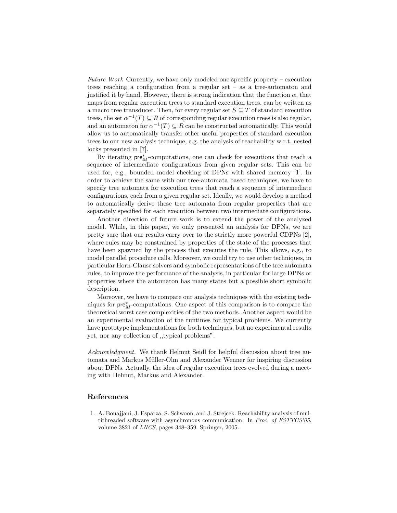Future Work Currently, we have only modeled one specific property – execution trees reaching a configuration from a regular set – as a tree-automaton and justified it by hand. However, there is strong indication that the function  $\alpha$ , that maps from regular execution trees to standard execution trees, can be written as a macro tree transducer. Then, for every regular set  $S \subseteq T$  of standard execution trees, the set  $\alpha^{-1}(T) \subseteq R$  of corresponding regular execution trees is also regular, and an automaton for  $\alpha^{-1}(T) \subseteq R$  can be constructed automatically. This would allow us to automatically transfer other useful properties of standard execution trees to our new analysis technique, e.g. the analysis of reachability w.r.t. nested locks presented in [7].

By iterating  $\mathsf{pre}^*_M\text{-computations},$  one can check for executions that reach a sequence of intermediate configurations from given regular sets. This can be used for, e.g., bounded model checking of DPNs with shared memory [1]. In order to achieve the same with our tree-automata based techniques, we have to specify tree automata for execution trees that reach a sequence of intermediate configurations, each from a given regular set. Ideally, we would develop a method to automatically derive these tree automata from regular properties that are separately specified for each execution between two intermediate configurations.

Another direction of future work is to extend the power of the analyzed model. While, in this paper, we only presented an analysis for DPNs, we are pretty sure that our results carry over to the strictly more powerful CDPNs [2], where rules may be constrained by properties of the state of the processes that have been spawned by the process that executes the rule. This allows, e.g., to model parallel procedure calls. Moreover, we could try to use other techniques, in particular Horn-Clause solvers and symbolic representations of the tree automata rules, to improve the performance of the analysis, in particular for large DPNs or properties where the automaton has many states but a possible short symbolic description.

Moreover, we have to compare our analysis techniques with the existing techniques for pre<sub>M</sub>-computations. One aspect of this comparison is to compare the theoretical worst case complexities of the two methods. Another aspect would be an experimental evaluation of the runtimes for typical problems. We currently have prototype implementations for both techniques, but no experimental results yet, nor any collection of ,,typical problems".

Acknowledgment. We thank Helmut Seidl for helpful discussion about tree automata and Markus Müller-Olm and Alexander Wenner for inspiring discussion about DPNs. Actually, the idea of regular execution trees evolved during a meeting with Helmut, Markus and Alexander.

## References

1. A. Bouajjani, J. Esparza, S. Schwoon, and J. Strejcek. Reachability analysis of multithreaded software with asynchronous communication. In Proc. of FSTTCS'05, volume 3821 of LNCS, pages 348–359. Springer, 2005.